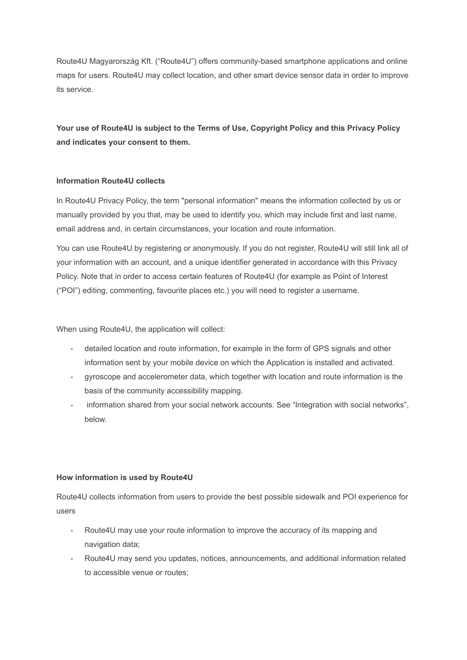Route4U Magyarország Kft. ("Route4U") offers community-based smartphone applications and online maps for users. Route4U may collect location, and other smart device sensor data in order to improve its service.

**Your use of Route4U is subject to the Terms of Use, Copyright Policy and this Privacy Policy and indicates your consent to them.**

# **Information Route4U collects**

In Route4U Privacy Policy, the term "personal information" means the information collected by us or manually provided by you that, may be used to identify you, which may include first and last name, email address and, in certain circumstances, your location and route information.

You can use Route4U by registering or anonymously. If you do not register, Route4U will still link all of your information with an account, and a unique identifier generated in accordance with this Privacy Policy. Note that in order to access certain features of Route4U (for example as Point of Interest ("POI") editing, commenting, favourite places etc.) you will need to register a username.

When using Route4U, the application will collect:

- detailed location and route information, for example in the form of GPS signals and other information sent by your mobile device on which the Application is installed and activated.
- gyroscope and accelerometer data, which together with location and route information is the basis of the community accessibility mapping.
- information shared from your social network accounts. See "Integration with social networks", below.

# **How information is used by Route4U**

Route4U collects information from users to provide the best possible sidewalk and POI experience for users

- Route4U may use your route information to improve the accuracy of its mapping and navigation data;
- Route4U may send you updates, notices, announcements, and additional information related to accessible venue or routes;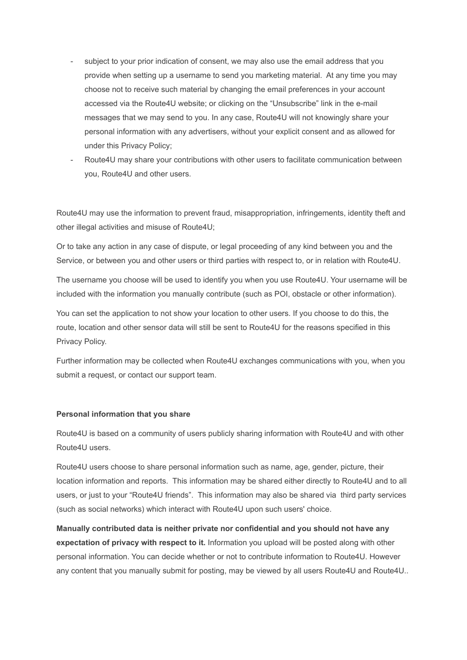- subject to your prior indication of consent, we may also use the email address that you provide when setting up a username to send you marketing material. At any time you may choose not to receive such material by changing the email preferences in your account accessed via the Route4U website; or clicking on the "Unsubscribe" link in the e-mail messages that we may send to you. In any case, Route4U will not knowingly share your personal information with any advertisers, without your explicit consent and as allowed for under this Privacy Policy;
- Route4U may share your contributions with other users to facilitate communication between you, Route4U and other users.

Route4U may use the information to prevent fraud, misappropriation, infringements, identity theft and other illegal activities and misuse of Route4U;

Or to take any action in any case of dispute, or legal proceeding of any kind between you and the Service, or between you and other users or third parties with respect to, or in relation with Route4U.

The username you choose will be used to identify you when you use Route4U. Your username will be included with the information you manually contribute (such as POI, obstacle or other information).

You can set the application to not show your location to other users. If you choose to do this, the route, location and other sensor data will still be sent to Route4U for the reasons specified in this Privacy Policy.

Further information may be collected when Route4U exchanges communications with you, when you submit a request, or contact our support team.

### **Personal information that you share**

Route4U is based on a community of users publicly sharing information with Route4U and with other Route4U users.

Route4U users choose to share personal information such as name, age, gender, picture, their location information and reports. This information may be shared either directly to Route4U and to all users, or just to your "Route4U friends". This information may also be shared via third party services (such as social networks) which interact with Route4U upon such users' choice.

**Manually contributed data is neither private nor confidential and you should not have any expectation of privacy with respect to it.** Information you upload will be posted along with other personal information. You can decide whether or not to contribute information to Route4U. However any content that you manually submit for posting, may be viewed by all users Route4U and Route4U..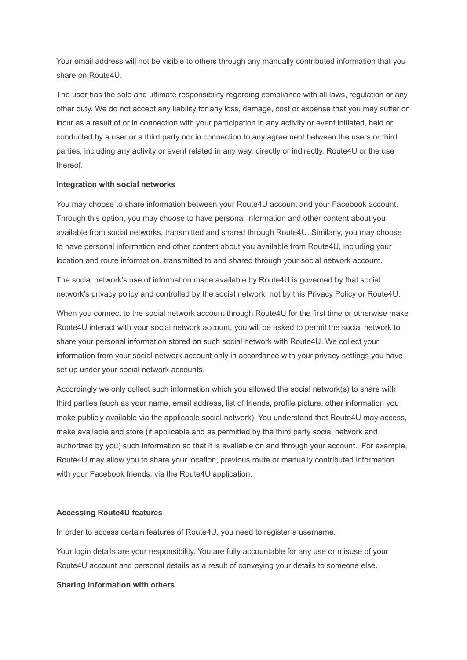Your email address will not be visible to others through any manually contributed information that you share on Route4U.

The user has the sole and ultimate responsibility regarding compliance with all laws, regulation or any other duty. We do not accept any liability for any loss, damage, cost or expense that you may suffer or incur as a result of or in connection with your participation in any activity or event initiated, held or conducted by a user or a third party nor in connection to any agreement between the users or third parties, including any activity or event related in any way, directly or indirectly, Route4U or the use thereof.

#### **Integration with social networks**

You may choose to share information between your Route4U account and your Facebook account. Through this option, you may choose to have personal information and other content about you available from social networks, transmitted and shared through Route4U. Similarly, you may choose to have personal information and other content about you available from Route4U, including your location and route information, transmitted to and shared through your social network account.

The social network's use of information made available by Route4U is governed by that social network's privacy policy and controlled by the social network, not by this Privacy Policy or Route4U.

When you connect to the social network account through Route4U for the first time or otherwise make Route4U interact with your social network account, you will be asked to permit the social network to share your personal information stored on such social network with Route4U. We collect your information from your social network account only in accordance with your privacy settings you have set up under your social network accounts.

Accordingly we only collect such information which you allowed the social network(s) to share with third parties (such as your name, email address, list of friends, profile picture, other information you make publicly available via the applicable social network). You understand that Route4U may access, make available and store (if applicable and as permitted by the third party social network and authorized by you) such information so that it is available on and through your account. For example, Route4U may allow you to share your location, previous route or manually contributed information with your Facebook friends, via the Route4U application.

#### **Accessing Route4U features**

In order to access certain features of Route4U, you need to register a username.

Your login details are your responsibility. You are fully accountable for any use or misuse of your Route4U account and personal details as a result of conveying your details to someone else.

#### **Sharing information with others**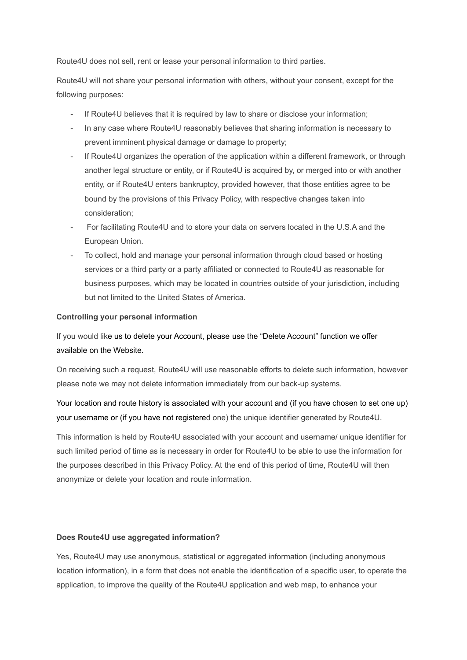Route4U does not sell, rent or lease your personal information to third parties.

Route4U will not share your personal information with others, without your consent, except for the following purposes:

- If Route4U believes that it is required by law to share or disclose your information;
- In any case where Route4U reasonably believes that sharing information is necessary to prevent imminent physical damage or damage to property;
- If Route4U organizes the operation of the application within a different framework, or through another legal structure or entity, or if Route4U is acquired by, or merged into or with another entity, or if Route4U enters bankruptcy, provided however, that those entities agree to be bound by the provisions of this Privacy Policy, with respective changes taken into consideration;
- For facilitating Route4U and to store your data on servers located in the U.S.A and the European Union.
- To collect, hold and manage your personal information through cloud based or hosting services or a third party or a party affiliated or connected to Route4U as reasonable for business purposes, which may be located in countries outside of your jurisdiction, including but not limited to the United States of America.

# **Controlling your personal information**

If you would like us to delete your Account, please use the "Delete Account" function we offer available on the Website.

On receiving such a request, Route4U will use reasonable efforts to delete such information, however please note we may not delete information immediately from our back-up systems.

Your location and route history is associated with your account and (if you have chosen to set one up) your username or (if you have not registered one) the unique identifier generated by Route4U.

This information is held by Route4U associated with your account and username/ unique identifier for such limited period of time as is necessary in order for Route4U to be able to use the information for the purposes described in this Privacy Policy. At the end of this period of time, Route4U will then anonymize or delete your location and route information.

# **Does Route4U use aggregated information?**

Yes, Route4U may use anonymous, statistical or aggregated information (including anonymous location information), in a form that does not enable the identification of a specific user, to operate the application, to improve the quality of the Route4U application and web map, to enhance your